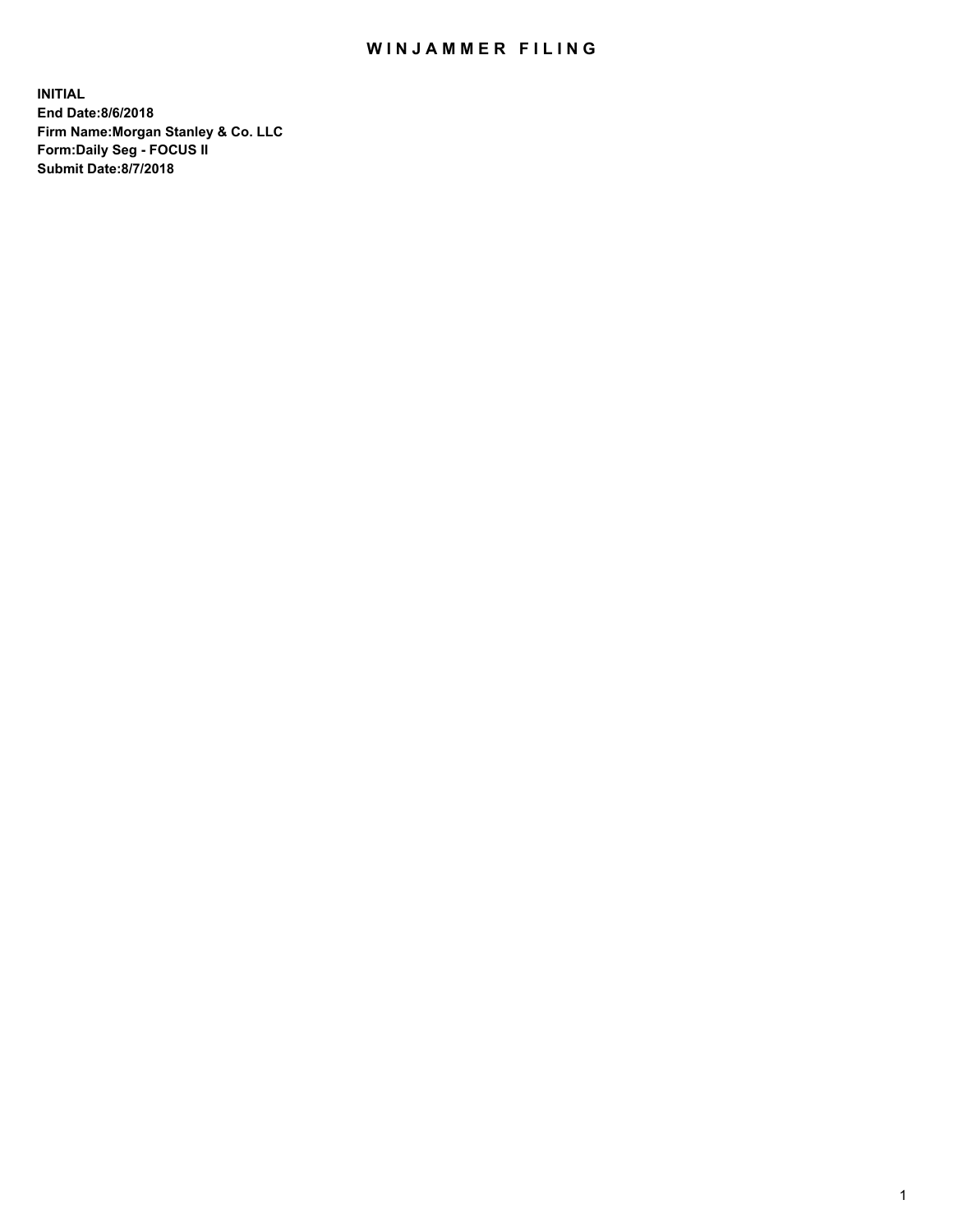## WIN JAMMER FILING

**INITIAL End Date:8/6/2018 Firm Name:Morgan Stanley & Co. LLC Form:Daily Seg - FOCUS II Submit Date:8/7/2018**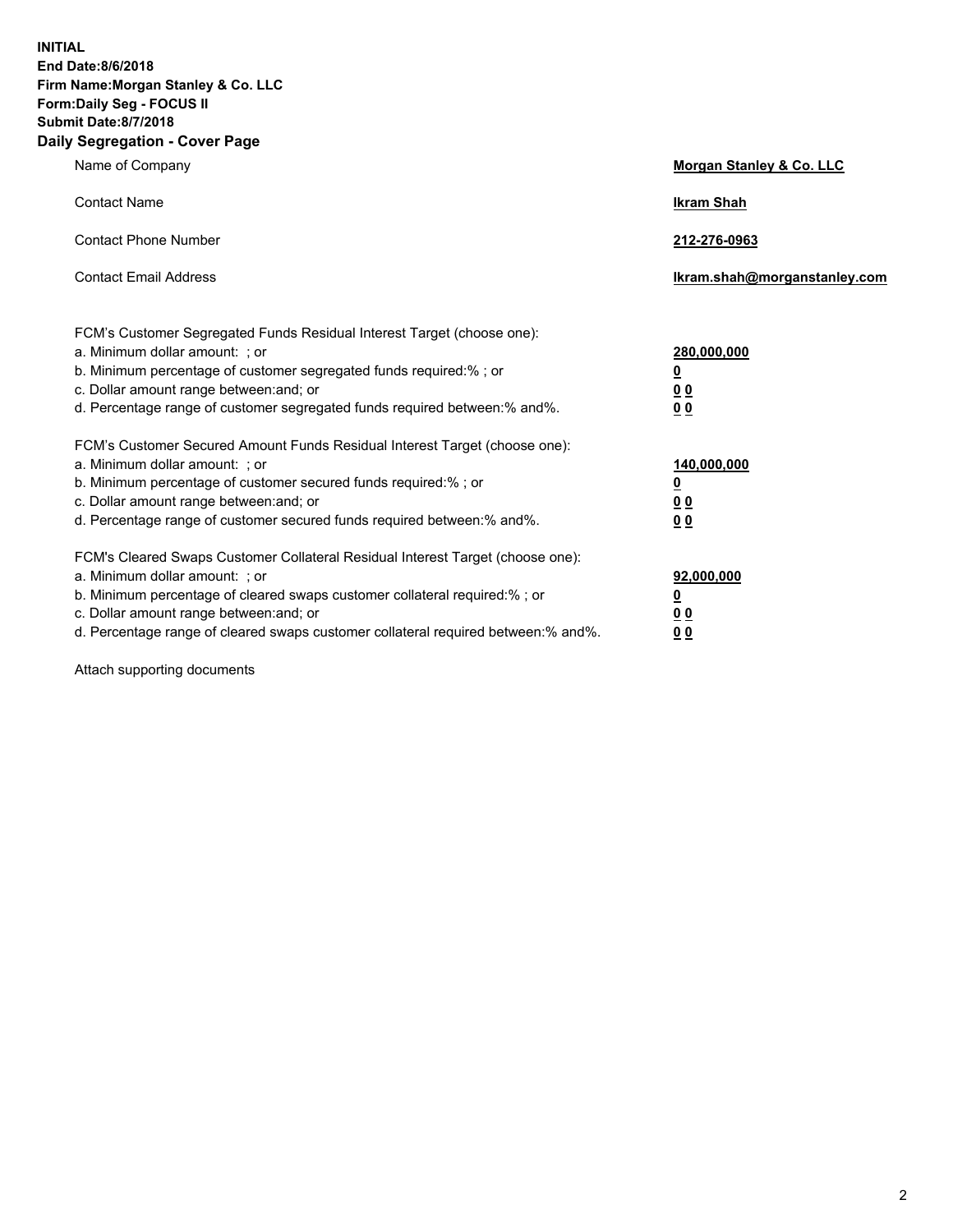**INITIAL End Date:8/6/2018 Firm Name:Morgan Stanley & Co. LLC Form:Daily Seg - FOCUS II Submit Date:8/7/2018 Daily Segregation - Cover Page**

| Name of Company                                                                                                                                                                                                                                                                                                                | Morgan Stanley & Co. LLC                                    |
|--------------------------------------------------------------------------------------------------------------------------------------------------------------------------------------------------------------------------------------------------------------------------------------------------------------------------------|-------------------------------------------------------------|
| <b>Contact Name</b>                                                                                                                                                                                                                                                                                                            | <b>Ikram Shah</b>                                           |
| <b>Contact Phone Number</b>                                                                                                                                                                                                                                                                                                    | 212-276-0963                                                |
| <b>Contact Email Address</b>                                                                                                                                                                                                                                                                                                   | Ikram.shah@morganstanley.com                                |
| FCM's Customer Segregated Funds Residual Interest Target (choose one):<br>a. Minimum dollar amount: ; or<br>b. Minimum percentage of customer segregated funds required:% ; or<br>c. Dollar amount range between: and; or<br>d. Percentage range of customer segregated funds required between:% and%.                         | 280,000,000<br><u>0</u><br>00<br>0 <sub>0</sub>             |
| FCM's Customer Secured Amount Funds Residual Interest Target (choose one):<br>a. Minimum dollar amount: ; or<br>b. Minimum percentage of customer secured funds required:%; or<br>c. Dollar amount range between: and; or<br>d. Percentage range of customer secured funds required between:% and%.                            | 140,000,000<br><u>0</u><br>0 <sub>0</sub><br>0 <sub>0</sub> |
| FCM's Cleared Swaps Customer Collateral Residual Interest Target (choose one):<br>a. Minimum dollar amount: ; or<br>b. Minimum percentage of cleared swaps customer collateral required:% ; or<br>c. Dollar amount range between: and; or<br>d. Percentage range of cleared swaps customer collateral required between:% and%. | 92,000,000<br><u>0</u><br>0 Q<br>0 <sub>0</sub>             |

Attach supporting documents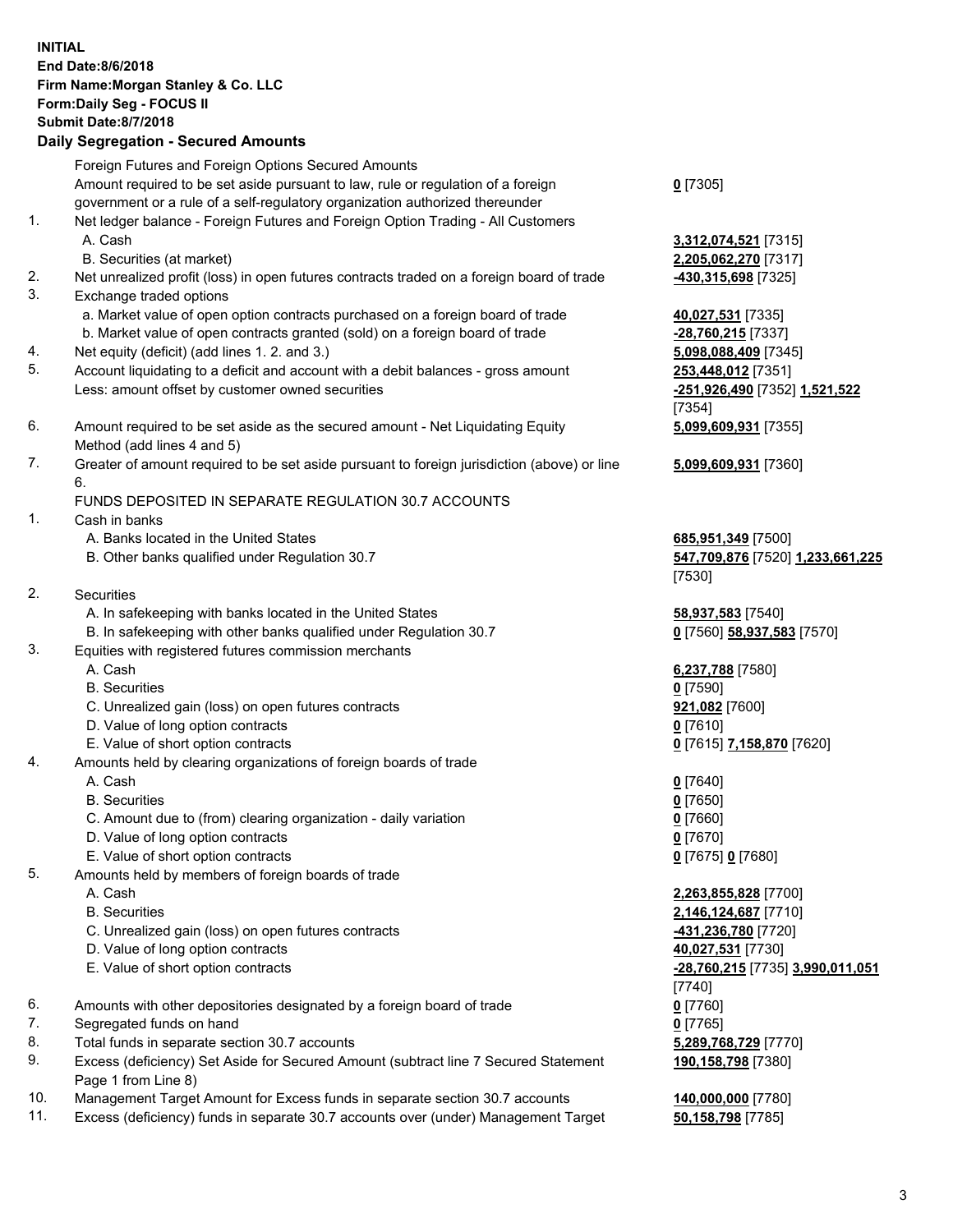|     | <b>INITIAL</b>                                                                              |                                  |
|-----|---------------------------------------------------------------------------------------------|----------------------------------|
|     | <b>End Date:8/6/2018</b>                                                                    |                                  |
|     | Firm Name: Morgan Stanley & Co. LLC                                                         |                                  |
|     | Form: Daily Seg - FOCUS II                                                                  |                                  |
|     | <b>Submit Date: 8/7/2018</b>                                                                |                                  |
|     | <b>Daily Segregation - Secured Amounts</b>                                                  |                                  |
|     |                                                                                             |                                  |
|     | Foreign Futures and Foreign Options Secured Amounts                                         |                                  |
|     | Amount required to be set aside pursuant to law, rule or regulation of a foreign            | $0$ [7305]                       |
|     | government or a rule of a self-regulatory organization authorized thereunder                |                                  |
| 1.  | Net ledger balance - Foreign Futures and Foreign Option Trading - All Customers             |                                  |
|     | A. Cash                                                                                     | 3,312,074,521 [7315]             |
|     | B. Securities (at market)                                                                   | 2,205,062,270 [7317]             |
| 2.  | Net unrealized profit (loss) in open futures contracts traded on a foreign board of trade   | 430,315,698 [7325]               |
| 3.  | Exchange traded options                                                                     |                                  |
|     | a. Market value of open option contracts purchased on a foreign board of trade              | 40,027,531 [7335]                |
|     | b. Market value of open contracts granted (sold) on a foreign board of trade                | -28,760,215 [7337]               |
| 4.  | Net equity (deficit) (add lines 1.2. and 3.)                                                | 5,098,088,409 [7345]             |
| 5.  | Account liquidating to a deficit and account with a debit balances - gross amount           | 253,448,012 [7351]               |
|     | Less: amount offset by customer owned securities                                            | -251,926,490 [7352] 1,521,522    |
|     |                                                                                             | [7354]                           |
| 6.  | Amount required to be set aside as the secured amount - Net Liquidating Equity              | 5,099,609,931 [7355]             |
|     | Method (add lines 4 and 5)                                                                  |                                  |
|     |                                                                                             |                                  |
| 7.  | Greater of amount required to be set aside pursuant to foreign jurisdiction (above) or line | 5,099,609,931 [7360]             |
|     | 6.                                                                                          |                                  |
|     | FUNDS DEPOSITED IN SEPARATE REGULATION 30.7 ACCOUNTS                                        |                                  |
| 1.  | Cash in banks                                                                               |                                  |
|     | A. Banks located in the United States                                                       | 685,951,349 [7500]               |
|     | B. Other banks qualified under Regulation 30.7                                              | 547,709,876 [7520] 1,233,661,225 |
|     |                                                                                             | [7530]                           |
| 2.  | Securities                                                                                  |                                  |
|     | A. In safekeeping with banks located in the United States                                   | 58,937,583 [7540]                |
|     | B. In safekeeping with other banks qualified under Regulation 30.7                          | 0 [7560] 58,937,583 [7570]       |
| 3.  | Equities with registered futures commission merchants                                       |                                  |
|     | A. Cash                                                                                     | 6,237,788 [7580]                 |
|     | <b>B.</b> Securities                                                                        | $0$ [7590]                       |
|     | C. Unrealized gain (loss) on open futures contracts                                         | 921,082 [7600]                   |
|     | D. Value of long option contracts                                                           | 0[7610]                          |
|     | E. Value of short option contracts                                                          | 0 [7615] 7,158,870 [7620]        |
| 4.  | Amounts held by clearing organizations of foreign boards of trade                           |                                  |
|     | A. Cash                                                                                     | $0$ [7640]                       |
|     | <b>B.</b> Securities                                                                        | $0$ [7650]                       |
|     | C. Amount due to (from) clearing organization - daily variation                             |                                  |
|     |                                                                                             | $0$ [7660]                       |
|     | D. Value of long option contracts                                                           | $0$ [7670]                       |
|     | E. Value of short option contracts                                                          | 0 [7675] 0 [7680]                |
| 5.  | Amounts held by members of foreign boards of trade                                          |                                  |
|     | A. Cash                                                                                     | 2,263,855,828 [7700]             |
|     | <b>B.</b> Securities                                                                        | 2,146,124,687 [7710]             |
|     | C. Unrealized gain (loss) on open futures contracts                                         | -431,236,780 [7720]              |
|     | D. Value of long option contracts                                                           | 40,027,531 [7730]                |
|     | E. Value of short option contracts                                                          | -28,760,215 [7735] 3,990,011,051 |
|     |                                                                                             | $[7740]$                         |
| 6.  | Amounts with other depositories designated by a foreign board of trade                      | $0$ [7760]                       |
| 7.  | Segregated funds on hand                                                                    | $0$ [7765]                       |
| 8.  | Total funds in separate section 30.7 accounts                                               | 5,289,768,729 [7770]             |
| 9.  | Excess (deficiency) Set Aside for Secured Amount (subtract line 7 Secured Statement         | 190,158,798 [7380]               |
|     | Page 1 from Line 8)                                                                         |                                  |
| 10. | Management Target Amount for Excess funds in senarate section 30.7 accounts                 | 140 000 000 [7780]               |

Management Target Amount for Excess funds in separate section 30.7 accounts **140,000,000** [7780]<br>Excess (deficiency) funds in separate 30.7 accounts over (under) Management Target 50,158,798 [7785] 11. Excess (deficiency) funds in separate 30.7 accounts over (under) Management Target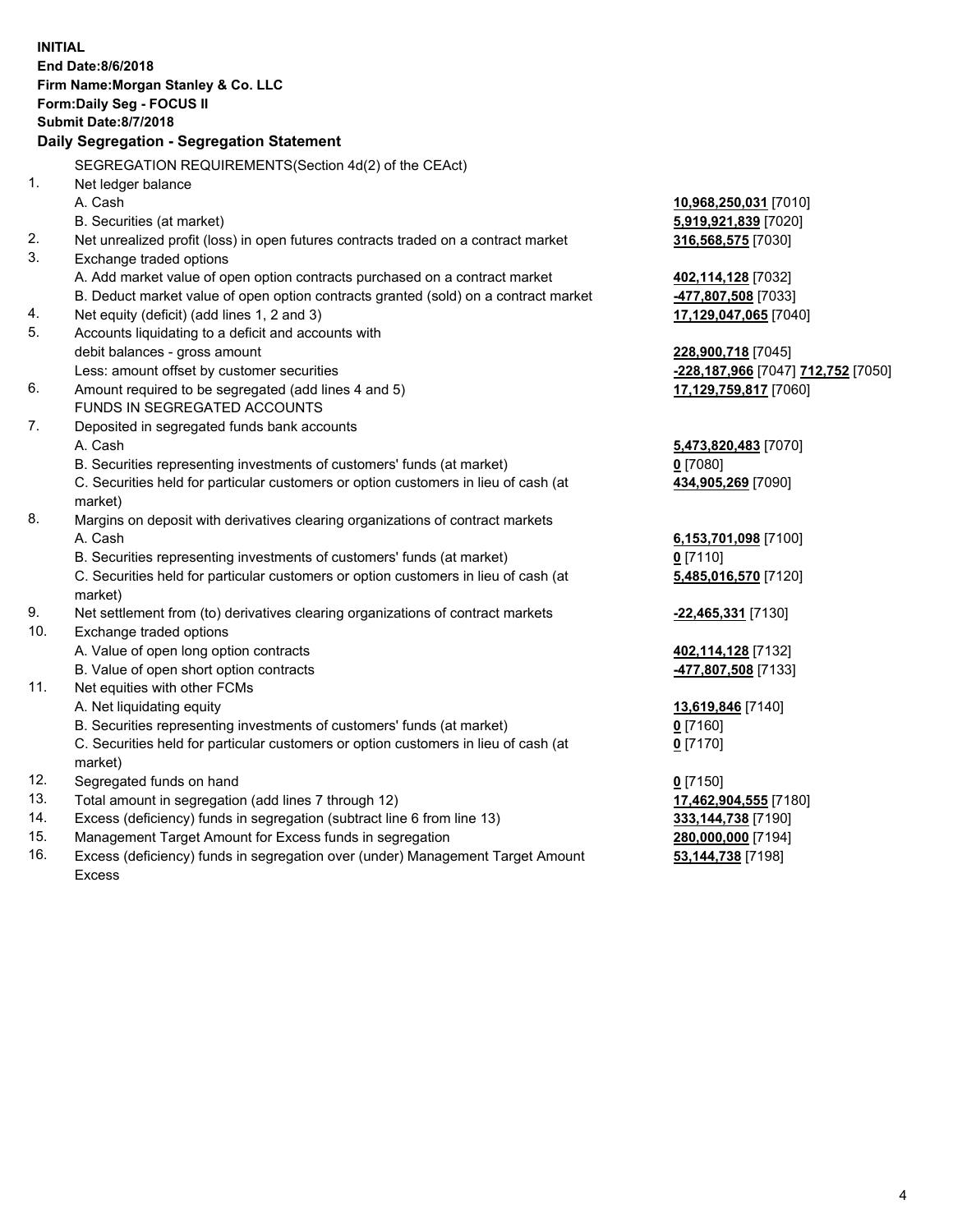|     | <b>INITIAL</b>                                                                      |                                           |
|-----|-------------------------------------------------------------------------------------|-------------------------------------------|
|     | End Date: 8/6/2018                                                                  |                                           |
|     | Firm Name: Morgan Stanley & Co. LLC                                                 |                                           |
|     | Form: Daily Seg - FOCUS II                                                          |                                           |
|     | <b>Submit Date: 8/7/2018</b>                                                        |                                           |
|     | Daily Segregation - Segregation Statement                                           |                                           |
|     | SEGREGATION REQUIREMENTS(Section 4d(2) of the CEAct)                                |                                           |
| 1.  | Net ledger balance                                                                  |                                           |
|     | A. Cash                                                                             | 10,968,250,031 [7010]                     |
|     | B. Securities (at market)                                                           | 5,919,921,839 [7020]                      |
| 2.  | Net unrealized profit (loss) in open futures contracts traded on a contract market  | 316,568,575 [7030]                        |
| 3.  | Exchange traded options                                                             |                                           |
|     | A. Add market value of open option contracts purchased on a contract market         | 402,114,128 [7032]                        |
|     | B. Deduct market value of open option contracts granted (sold) on a contract market | 477,807,508 [7033]                        |
| 4.  | Net equity (deficit) (add lines 1, 2 and 3)                                         | 17,129,047,065 [7040]                     |
| 5.  | Accounts liquidating to a deficit and accounts with                                 |                                           |
|     | debit balances - gross amount                                                       | 228,900,718 [7045]                        |
|     | Less: amount offset by customer securities                                          | <u>-228,187,966</u> [7047] 712,752 [7050] |
| 6.  | Amount required to be segregated (add lines 4 and 5)                                | 17,129,759,817 [7060]                     |
|     | FUNDS IN SEGREGATED ACCOUNTS                                                        |                                           |
| 7.  | Deposited in segregated funds bank accounts                                         |                                           |
|     | A. Cash                                                                             | 5,473,820,483 [7070]                      |
|     | B. Securities representing investments of customers' funds (at market)              | $0$ [7080]                                |
|     | C. Securities held for particular customers or option customers in lieu of cash (at | 434,905,269 [7090]                        |
|     | market)                                                                             |                                           |
| 8.  | Margins on deposit with derivatives clearing organizations of contract markets      |                                           |
|     | A. Cash                                                                             | 6,153,701,098 [7100]                      |
|     | B. Securities representing investments of customers' funds (at market)              | $0$ [7110]                                |
|     | C. Securities held for particular customers or option customers in lieu of cash (at | 5,485,016,570 [7120]                      |
|     | market)                                                                             |                                           |
| 9.  | Net settlement from (to) derivatives clearing organizations of contract markets     | -22,465,331 [7130]                        |
| 10. | Exchange traded options                                                             |                                           |
|     | A. Value of open long option contracts                                              | 402,114,128 [7132]                        |
|     | B. Value of open short option contracts                                             | -477,807,508 [7133]                       |
| 11. | Net equities with other FCMs                                                        |                                           |
|     | A. Net liquidating equity                                                           | 13,619,846 [7140]                         |
|     | B. Securities representing investments of customers' funds (at market)              | <u>0</u> [7160]                           |
|     | C. Securities held for particular customers or option customers in lieu of cash (at | $0$ [7170]                                |
|     | market)                                                                             |                                           |
| 12. | Segregated funds on hand                                                            | $0$ [7150]                                |
| 13. | Total amount in segregation (add lines 7 through 12)                                | 17,462,904,555 [7180]                     |
| 14. | Excess (deficiency) funds in segregation (subtract line 6 from line 13)             | 333, 144, 738 [7190]                      |
| 15. | Management Target Amount for Excess funds in segregation                            | 280,000,000 [7194]                        |
| 16. | Excess (deficiency) funds in segregation over (under) Management Target Amount      | 53,144,738 [7198]                         |

16. Excess (deficiency) funds in segregation over (under) Management Target Amount Excess